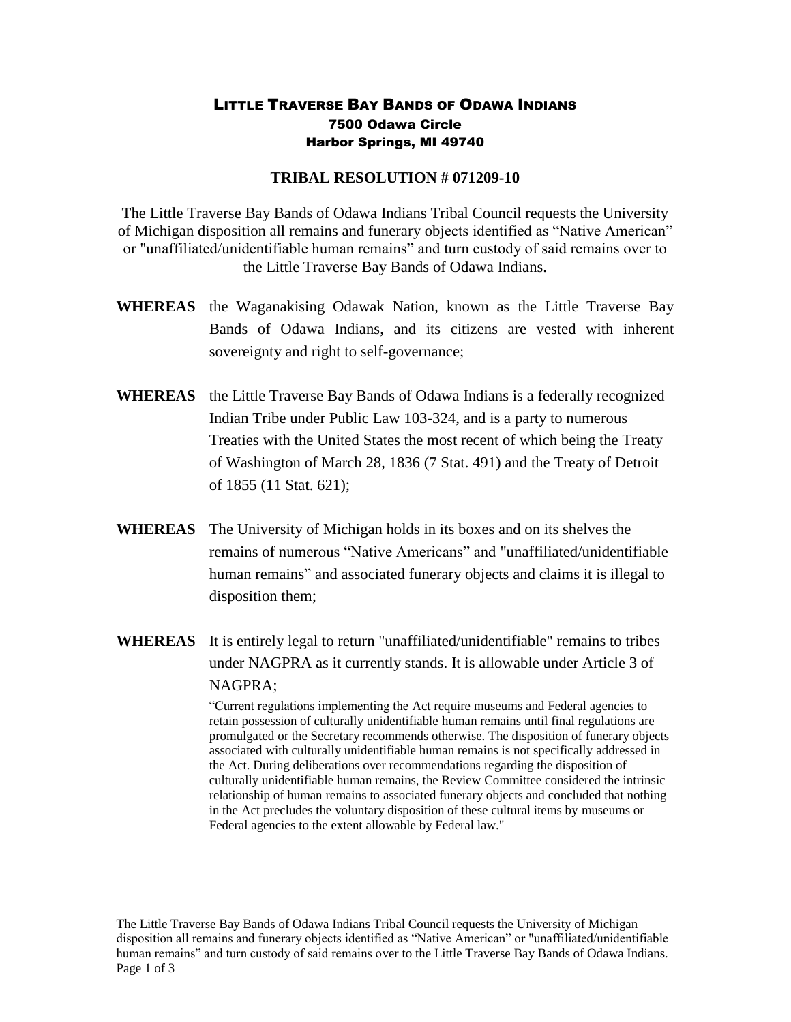## LITTLE TRAVERSE BAY BANDS OF ODAWA INDIANS 7500 Odawa Circle Harbor Springs, MI 49740

## **TRIBAL RESOLUTION # 071209-10**

The Little Traverse Bay Bands of Odawa Indians Tribal Council requests the University of Michigan disposition all remains and funerary objects identified as "Native American" or "unaffiliated/unidentifiable human remains" and turn custody of said remains over to the Little Traverse Bay Bands of Odawa Indians.

- **WHEREAS** the Waganakising Odawak Nation, known as the Little Traverse Bay Bands of Odawa Indians, and its citizens are vested with inherent sovereignty and right to self-governance;
- **WHEREAS** the Little Traverse Bay Bands of Odawa Indians is a federally recognized Indian Tribe under Public Law 103-324, and is a party to numerous Treaties with the United States the most recent of which being the Treaty of Washington of March 28, 1836 (7 Stat. 491) and the Treaty of Detroit of 1855 (11 Stat. 621);
- **WHEREAS** The University of Michigan holds in its boxes and on its shelves the remains of numerous "Native Americans" and "unaffiliated/unidentifiable human remains" and associated funerary objects and claims it is illegal to disposition them;
- **WHEREAS** It is entirely legal to return "unaffiliated/unidentifiable" remains to tribes under NAGPRA as it currently stands. It is allowable under Article 3 of NAGPRA;

"Current regulations implementing the Act require museums and Federal agencies to retain possession of culturally unidentifiable human remains until final regulations are promulgated or the Secretary recommends otherwise. The disposition of funerary objects associated with culturally unidentifiable human remains is not specifically addressed in the Act. During deliberations over recommendations regarding the disposition of culturally unidentifiable human remains, the Review Committee considered the intrinsic relationship of human remains to associated funerary objects and concluded that nothing in the Act precludes the voluntary disposition of these cultural items by museums or Federal agencies to the extent allowable by Federal law."

The Little Traverse Bay Bands of Odawa Indians Tribal Council requests the University of Michigan disposition all remains and funerary objects identified as "Native American" or "unaffiliated/unidentifiable human remains" and turn custody of said remains over to the Little Traverse Bay Bands of Odawa Indians. Page 1 of 3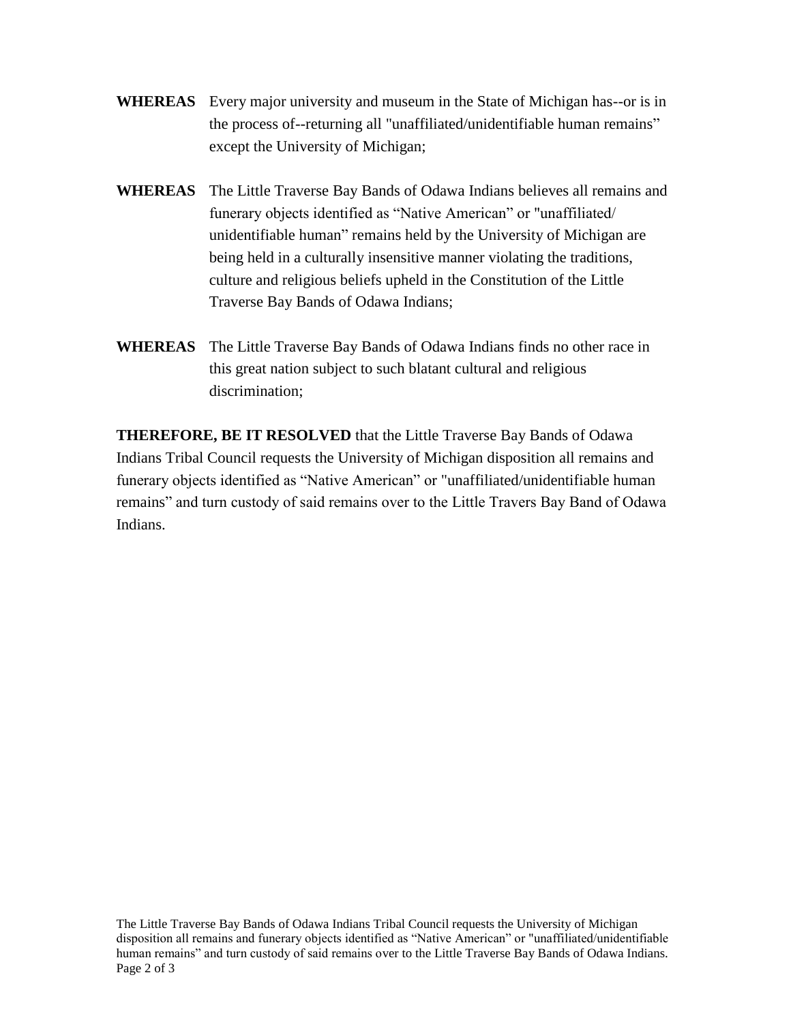- **WHEREAS** Every major university and museum in the State of Michigan has--or is in the process of--returning all "unaffiliated/unidentifiable human remains" except the University of Michigan;
- **WHEREAS** The Little Traverse Bay Bands of Odawa Indians believes all remains and funerary objects identified as "Native American" or "unaffiliated/ unidentifiable human" remains held by the University of Michigan are being held in a culturally insensitive manner violating the traditions, culture and religious beliefs upheld in the Constitution of the Little Traverse Bay Bands of Odawa Indians;
- **WHEREAS** The Little Traverse Bay Bands of Odawa Indians finds no other race in this great nation subject to such blatant cultural and religious discrimination;

**THEREFORE, BE IT RESOLVED** that the Little Traverse Bay Bands of Odawa Indians Tribal Council requests the University of Michigan disposition all remains and funerary objects identified as "Native American" or "unaffiliated/unidentifiable human remains" and turn custody of said remains over to the Little Travers Bay Band of Odawa Indians.